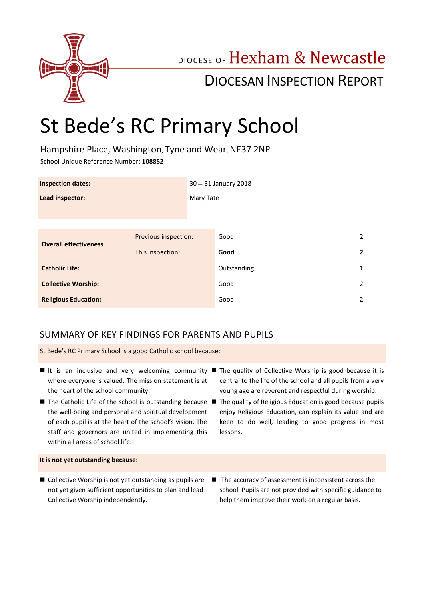

# DIOCESE OF Hexham & Newcastle

# DIOCESAN INSPECTION REPORT

# St Bede's RC Primary School

Hampshire Place, Washington, Tyne and Wear, NE37 2NP

School Unique Reference Number: **108852**

| <b>Inspection dates:</b>     |                      | 30 - 31 January 2018 |             |                |
|------------------------------|----------------------|----------------------|-------------|----------------|
| Lead inspector:              |                      | Mary Tate            |             |                |
|                              |                      |                      |             |                |
| <b>Overall effectiveness</b> | Previous inspection: |                      | Good        | $\overline{2}$ |
|                              | This inspection:     |                      | Good        | $\overline{2}$ |
| <b>Catholic Life:</b>        |                      |                      | Outstanding | 1              |
| <b>Collective Worship:</b>   |                      |                      | Good        | $\overline{2}$ |
| <b>Religious Education:</b>  |                      |                      | Good        | 2              |

# SUMMARY OF KEY FINDINGS FOR PARENTS AND PUPILS

St Bede's RC Primary School is a good Catholic school because:

- where everyone is valued. The mission statement is at the heart of the school community.
- the well-being and personal and spiritual development of each pupil is at the heart of the school's vision. The staff and governors are united in implementing this within all areas of school life.
- It is an inclusive and very welcoming community The quality of Collective Worship is good because it is central to the life of the school and all pupils from a very young age are reverent and respectful during worship.
- The Catholic Life of the school is outstanding because The quality of Religious Education is good because pupils enjoy Religious Education, can explain its value and are keen to do well, leading to good progress in most lessons.

#### **It is not yet outstanding because:**

- Collective Worship is not yet outstanding as pupils are not yet given sufficient opportunities to plan and lead Collective Worship independently.
- The accuracy of assessment is inconsistent across the school. Pupils are not provided with specific guidance to help them improve their work on a regular basis.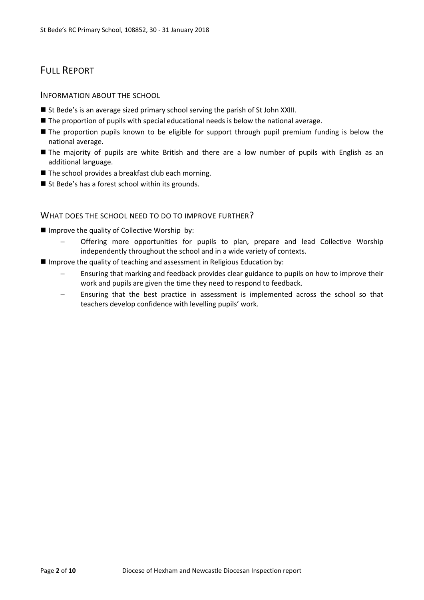# FULL REPORT

#### INFORMATION ABOUT THE SCHOOL

- St Bede's is an average sized primary school serving the parish of St John XXIII.
- The proportion of pupils with special educational needs is below the national average.
- **The proportion pupils known to be eligible for support through pupil premium funding is below the** national average.
- The majority of pupils are white British and there are a low number of pupils with English as an additional language.
- The school provides a breakfast club each morning.
- St Bede's has a forest school within its grounds.

#### WHAT DOES THE SCHOOL NEED TO DO TO IMPROVE FURTHER?

- **I** Improve the quality of Collective Worship by:
	- Offering more opportunities for pupils to plan, prepare and lead Collective Worship independently throughout the school and in a wide variety of contexts.
- $\blacksquare$  Improve the quality of teaching and assessment in Religious Education by:
	- Ensuring that marking and feedback provides clear guidance to pupils on how to improve their work and pupils are given the time they need to respond to feedback.
	- Ensuring that the best practice in assessment is implemented across the school so that teachers develop confidence with levelling pupils' work.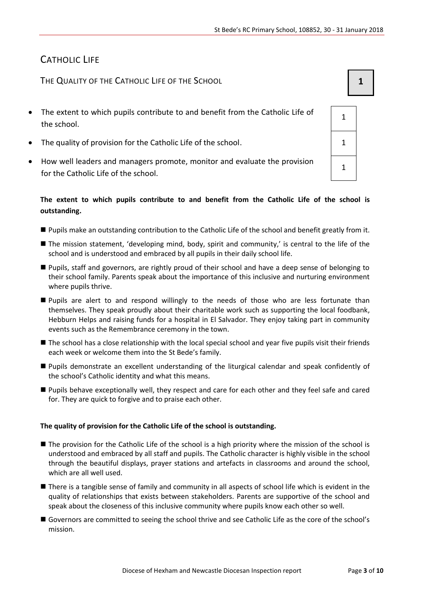1

1

# CATHOLIC LIFE

THE QUALITY OF THE CATHOLIC LIFE OF THE SCHOOL **1 1** 

- The extent to which pupils contribute to and benefit from the Catholic Life of the school.
- The quality of provision for the Catholic Life of the school.  $\vert$  1
- How well leaders and managers promote, monitor and evaluate the provision for the Catholic Life of the school.

#### **The extent to which pupils contribute to and benefit from the Catholic Life of the school is outstanding.**

- Pupils make an outstanding contribution to the Catholic Life of the school and benefit greatly from it.
- The mission statement, 'developing mind, body, spirit and community,' is central to the life of the school and is understood and embraced by all pupils in their daily school life.
- Pupils, staff and governors, are rightly proud of their school and have a deep sense of belonging to their school family. Parents speak about the importance of this inclusive and nurturing environment where pupils thrive.
- **Pupils are alert to and respond willingly to the needs of those who are less fortunate than** themselves. They speak proudly about their charitable work such as supporting the local foodbank, Hebburn Helps and raising funds for a hospital in El Salvador. They enjoy taking part in community events such as the Remembrance ceremony in the town.
- The school has a close relationship with the local special school and year five pupils visit their friends each week or welcome them into the St Bede's family.
- Pupils demonstrate an excellent understanding of the liturgical calendar and speak confidently of the school's Catholic identity and what this means.
- Pupils behave exceptionally well, they respect and care for each other and they feel safe and cared for. They are quick to forgive and to praise each other.

#### **The quality of provision for the Catholic Life of the school is outstanding.**

- The provision for the Catholic Life of the school is a high priority where the mission of the school is understood and embraced by all staff and pupils. The Catholic character is highly visible in the school through the beautiful displays, prayer stations and artefacts in classrooms and around the school, which are all well used.
- There is a tangible sense of family and community in all aspects of school life which is evident in the quality of relationships that exists between stakeholders. Parents are supportive of the school and speak about the closeness of this inclusive community where pupils know each other so well.
- Governors are committed to seeing the school thrive and see Catholic Life as the core of the school's mission.

| Diocese of Hexham and Newcastle Diocesan Inspection report | Page 3 of 10 |
|------------------------------------------------------------|--------------|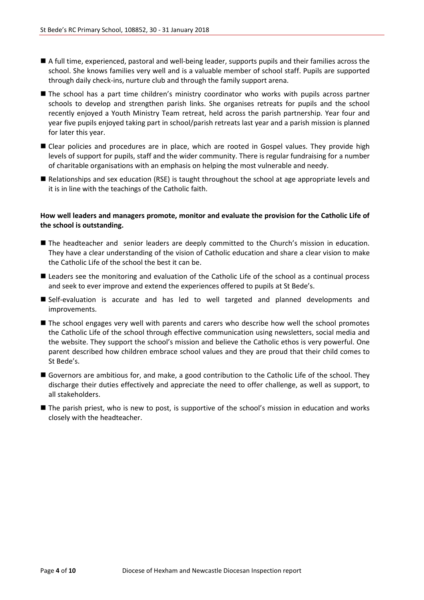- A full time, experienced, pastoral and well-being leader, supports pupils and their families across the school. She knows families very well and is a valuable member of school staff. Pupils are supported through daily check-ins, nurture club and through the family support arena.
- **The school has a part time children's ministry coordinator who works with pupils across partner** schools to develop and strengthen parish links. She organises retreats for pupils and the school recently enjoyed a Youth Ministry Team retreat, held across the parish partnership. Year four and year five pupils enjoyed taking part in school/parish retreats last year and a parish mission is planned for later this year.
- Clear policies and procedures are in place, which are rooted in Gospel values. They provide high levels of support for pupils, staff and the wider community. There is regular fundraising for a number of charitable organisations with an emphasis on helping the most vulnerable and needy.
- Relationships and sex education (RSE) is taught throughout the school at age appropriate levels and it is in line with the teachings of the Catholic faith.

#### **How well leaders and managers promote, monitor and evaluate the provision for the Catholic Life of the school is outstanding.**

- **The headteacher and senior leaders are deeply committed to the Church's mission in education.** They have a clear understanding of the vision of Catholic education and share a clear vision to make the Catholic Life of the school the best it can be.
- Leaders see the monitoring and evaluation of the Catholic Life of the school as a continual process and seek to ever improve and extend the experiences offered to pupils at St Bede's.
- Self-evaluation is accurate and has led to well targeted and planned developments and improvements.
- **The school engages very well with parents and carers who describe how well the school promotes** the Catholic Life of the school through effective communication using newsletters, social media and the website. They support the school's mission and believe the Catholic ethos is very powerful. One parent described how children embrace school values and they are proud that their child comes to St Bede's.
- Governors are ambitious for, and make, a good contribution to the Catholic Life of the school. They discharge their duties effectively and appreciate the need to offer challenge, as well as support, to all stakeholders.
- **The parish priest, who is new to post, is supportive of the school's mission in education and works** closely with the headteacher.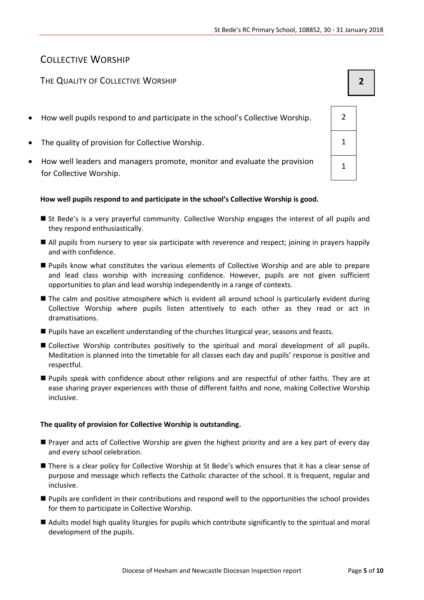# COLLECTIVE WORSHIP

### THE QUALITY OF COLLECTIVE WORSHIP **2**

- How well pupils respond to and participate in the school's Collective Worship. 2
- The quality of provision for Collective Worship. 1
- How well leaders and managers promote, monitor and evaluate the provision for Collective Worship.

#### **How well pupils respond to and participate in the school's Collective Worship is good.**

- St Bede's is a very prayerful community. Collective Worship engages the interest of all pupils and they respond enthusiastically.
- All pupils from nursery to year six participate with reverence and respect; joining in prayers happily and with confidence.
- Pupils know what constitutes the various elements of Collective Worship and are able to prepare and lead class worship with increasing confidence. However, pupils are not given sufficient opportunities to plan and lead worship independently in a range of contexts.
- The calm and positive atmosphere which is evident all around school is particularly evident during Collective Worship where pupils listen attentively to each other as they read or act in dramatisations.
- Pupils have an excellent understanding of the churches liturgical year, seasons and feasts.
- Collective Worship contributes positively to the spiritual and moral development of all pupils. Meditation is planned into the timetable for all classes each day and pupils' response is positive and respectful.
- Pupils speak with confidence about other religions and are respectful of other faiths. They are at ease sharing prayer experiences with those of different faiths and none, making Collective Worship inclusive.

#### **The quality of provision for Collective Worship is outstanding.**

- Prayer and acts of Collective Worship are given the highest priority and are a key part of every day and every school celebration.
- There is a clear policy for Collective Worship at St Bede's which ensures that it has a clear sense of purpose and message which reflects the Catholic character of the school. It is frequent, regular and inclusive.
- Pupils are confident in their contributions and respond well to the opportunities the school provides for them to participate in Collective Worship.
- Adults model high quality liturgies for pupils which contribute significantly to the spiritual and moral development of the pupils.

| $\overline{2}$ |  |
|----------------|--|
| $\mathbf 1$    |  |
| 1              |  |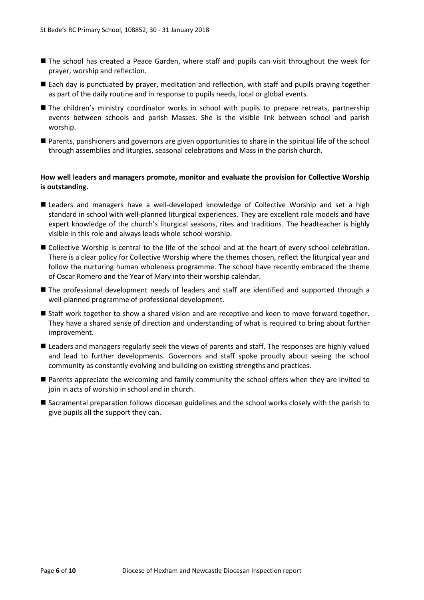- The school has created a Peace Garden, where staff and pupils can visit throughout the week for prayer, worship and reflection.
- Each day is punctuated by prayer, meditation and reflection, with staff and pupils praying together as part of the daily routine and in response to pupils needs, local or global events.
- The children's ministry coordinator works in school with pupils to prepare retreats, partnership events between schools and parish Masses. She is the visible link between school and parish worship.
- Parents, parishioners and governors are given opportunities to share in the spiritual life of the school through assemblies and liturgies, seasonal celebrations and Mass in the parish church.

#### **How well leaders and managers promote, monitor and evaluate the provision for Collective Worship is outstanding.**

- Leaders and managers have a well-developed knowledge of Collective Worship and set a high standard in school with well-planned liturgical experiences. They are excellent role models and have expert knowledge of the church's liturgical seasons, rites and traditions. The headteacher is highly visible in this role and always leads whole school worship.
- Collective Worship is central to the life of the school and at the heart of every school celebration. There is a clear policy for Collective Worship where the themes chosen, reflect the liturgical year and follow the nurturing human wholeness programme. The school have recently embraced the theme of Oscar Romero and the Year of Mary into their worship calendar.
- The professional development needs of leaders and staff are identified and supported through a well-planned programme of professional development.
- Staff work together to show a shared vision and are receptive and keen to move forward together. They have a shared sense of direction and understanding of what is required to bring about further improvement.
- **E** Leaders and managers regularly seek the views of parents and staff. The responses are highly valued and lead to further developments. Governors and staff spoke proudly about seeing the school community as constantly evolving and building on existing strengths and practices.
- Parents appreciate the welcoming and family community the school offers when they are invited to join in acts of worship in school and in church.
- Sacramental preparation follows diocesan guidelines and the school works closely with the parish to give pupils all the support they can.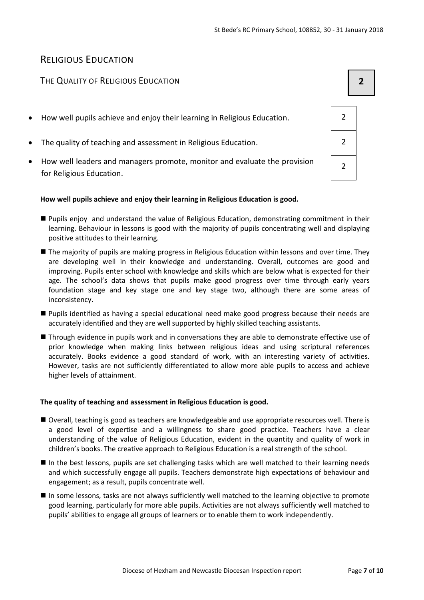# RELIGIOUS EDUCATION

### THE QUALITY OF RELIGIOUS EDUCATION **2**

- How well pupils achieve and enjoy their learning in Religious Education. 2
- The quality of teaching and assessment in Religious Education. 2
- How well leaders and managers promote, monitor and evaluate the provision for Religious Education.

#### **How well pupils achieve and enjoy their learning in Religious Education is good.**

- Pupils enjoy and understand the value of Religious Education, demonstrating commitment in their learning. Behaviour in lessons is good with the majority of pupils concentrating well and displaying positive attitudes to their learning.
- The majority of pupils are making progress in Religious Education within lessons and over time. They are developing well in their knowledge and understanding. Overall, outcomes are good and improving. Pupils enter school with knowledge and skills which are below what is expected for their age. The school's data shows that pupils make good progress over time through early years foundation stage and key stage one and key stage two, although there are some areas of inconsistency.
- **Pupils identified as having a special educational need make good progress because their needs are** accurately identified and they are well supported by highly skilled teaching assistants.
- Through evidence in pupils work and in conversations they are able to demonstrate effective use of prior knowledge when making links between religious ideas and using scriptural references accurately. Books evidence a good standard of work, with an interesting variety of activities. However, tasks are not sufficiently differentiated to allow more able pupils to access and achieve higher levels of attainment.

#### **The quality of teaching and assessment in Religious Education is good.**

- Overall, teaching is good as teachers are knowledgeable and use appropriate resources well. There is a good level of expertise and a willingness to share good practice. Teachers have a clear understanding of the value of Religious Education, evident in the quantity and quality of work in children's books. The creative approach to Religious Education is a real strength of the school.
- In the best lessons, pupils are set challenging tasks which are well matched to their learning needs and which successfully engage all pupils. Teachers demonstrate high expectations of behaviour and engagement; as a result, pupils concentrate well.
- In some lessons, tasks are not always sufficiently well matched to the learning objective to promote good learning, particularly for more able pupils. Activities are not always sufficiently well matched to pupils' abilities to engage all groups of learners or to enable them to work independently.

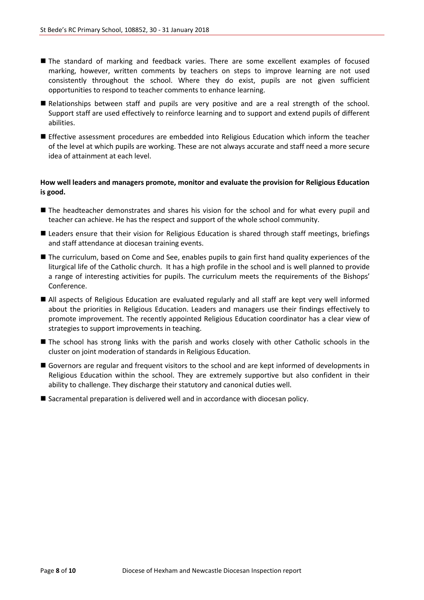- The standard of marking and feedback varies. There are some excellent examples of focused marking, however, written comments by teachers on steps to improve learning are not used consistently throughout the school. Where they do exist, pupils are not given sufficient opportunities to respond to teacher comments to enhance learning.
- Relationships between staff and pupils are very positive and are a real strength of the school. Support staff are used effectively to reinforce learning and to support and extend pupils of different abilities.
- **Effective assessment procedures are embedded into Religious Education which inform the teacher** of the level at which pupils are working. These are not always accurate and staff need a more secure idea of attainment at each level.

#### **How well leaders and managers promote, monitor and evaluate the provision for Religious Education is good.**

- The headteacher demonstrates and shares his vision for the school and for what every pupil and teacher can achieve. He has the respect and support of the whole school community.
- Leaders ensure that their vision for Religious Education is shared through staff meetings, briefings and staff attendance at diocesan training events.
- The curriculum, based on Come and See, enables pupils to gain first hand quality experiences of the liturgical life of the Catholic church. It has a high profile in the school and is well planned to provide a range of interesting activities for pupils. The curriculum meets the requirements of the Bishops' Conference.
- All aspects of Religious Education are evaluated regularly and all staff are kept very well informed about the priorities in Religious Education. Leaders and managers use their findings effectively to promote improvement. The recently appointed Religious Education coordinator has a clear view of strategies to support improvements in teaching.
- The school has strong links with the parish and works closely with other Catholic schools in the cluster on joint moderation of standards in Religious Education.
- Governors are regular and frequent visitors to the school and are kept informed of developments in Religious Education within the school. They are extremely supportive but also confident in their ability to challenge. They discharge their statutory and canonical duties well.
- Sacramental preparation is delivered well and in accordance with diocesan policy.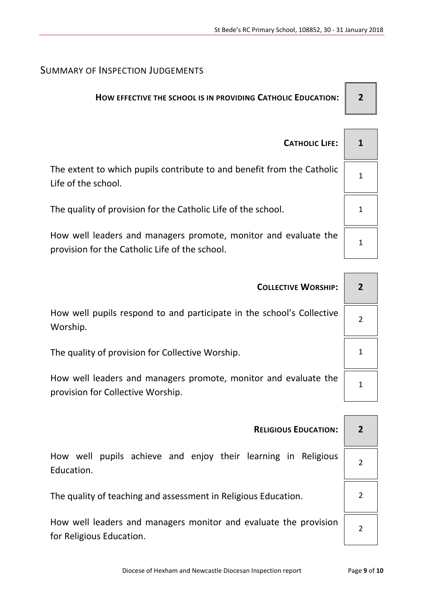## SUMMARY OF INSPECTION JUDGEMENTS

provision for the Catholic Life of the school.

# **HOW EFFECTIVE THE SCHOOL IS IN PROVIDING CATHOLIC EDUCATION: 2**

| <b>CATHOLIC LIFE:</b>                                                                         |  |
|-----------------------------------------------------------------------------------------------|--|
| The extent to which pupils contribute to and benefit from the Catholic<br>Life of the school. |  |
| The quality of provision for the Catholic Life of the school.                                 |  |
| How well leaders and managers promote, monitor and evaluate the                               |  |

| <b>COLLECTIVE WORSHIP:</b>                                                                           |  |
|------------------------------------------------------------------------------------------------------|--|
| How well pupils respond to and participate in the school's Collective<br>Worship.                    |  |
| The quality of provision for Collective Worship.                                                     |  |
| How well leaders and managers promote, monitor and evaluate the<br>provision for Collective Worship. |  |
|                                                                                                      |  |
| <b>RELIGIOUS EDUCATION:</b>                                                                          |  |

How well pupils achieve and enjoy their learning in Religious Education.

The quality of teaching and assessment in Religious Education.  $\vert$  2

How well leaders and managers monitor and evaluate the provision for Religious Education.

 $\overline{2}$